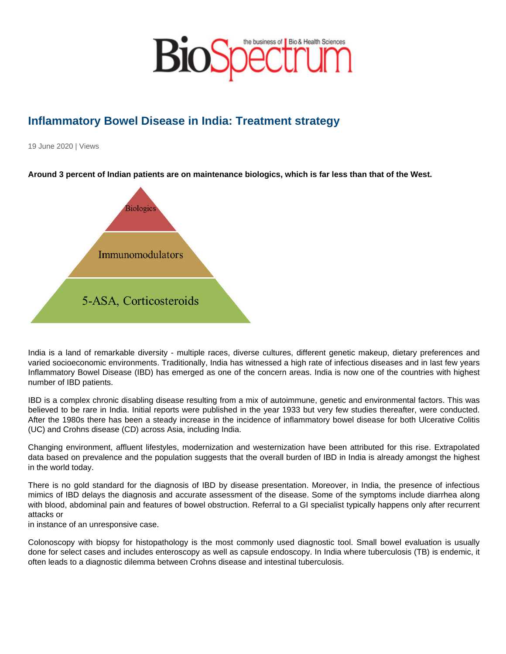## Inflammatory Bowel Disease in India: Treatment strategy

19 June 2020 | Views

Around 3 percent of Indian patients are on maintenance biologics, which is far less than that of the West.

India is a land of remarkable diversity - multiple races, diverse cultures, different genetic makeup, dietary preferences and varied socioeconomic environments. Traditionally, India has witnessed a high rate of infectious diseases and in last few years Inflammatory Bowel Disease (IBD) has emerged as one of the concern areas. India is now one of the countries with highest number of IBD patients.

IBD is a complex chronic disabling disease resulting from a mix of autoimmune, genetic and environmental factors. This was believed to be rare in India. Initial reports were published in the year 1933 but very few studies thereafter, were conducted. After the 1980s there has been a steady increase in the incidence of inflammatory bowel disease for both Ulcerative Colitis (UC) and Crohns disease (CD) across Asia, including India.

Changing environment, affluent lifestyles, modernization and westernization have been attributed for this rise. Extrapolated data based on prevalence and the population suggests that the overall burden of IBD in India is already amongst the highest in the world today.

There is no gold standard for the diagnosis of IBD by disease presentation. Moreover, in India, the presence of infectious mimics of IBD delays the diagnosis and accurate assessment of the disease. Some of the symptoms include diarrhea along with blood, abdominal pain and features of bowel obstruction. Referral to a GI specialist typically happens only after recurrent attacks or

in instance of an unresponsive case.

Colonoscopy with biopsy for histopathology is the most commonly used diagnostic tool. Small bowel evaluation is usually done for select cases and includes enteroscopy as well as capsule endoscopy. In India where tuberculosis (TB) is endemic, it often leads to a diagnostic dilemma between Crohns disease and intestinal tuberculosis.